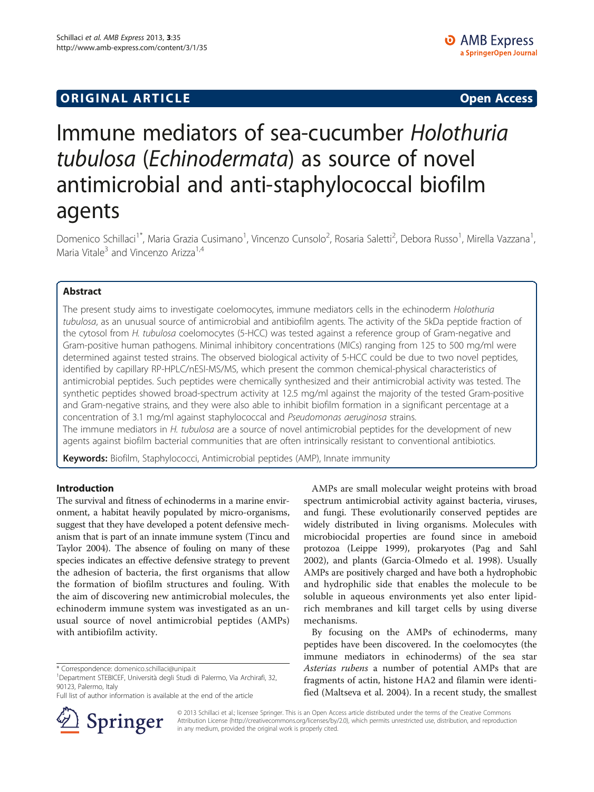# **ORIGINAL ARTICLE CONSUMING A LIGACION** CONSUMING A LIGACION CONSUMING A LIGACION CONSUMING A LIGACION CONSUMING A LIGACION CONSUMING A LIGACION CONSUMING A LIGACION CONSUMING A LIGACION CONSUMING A LIGACION CONSUMING A

# Immune mediators of sea-cucumber Holothuria tubulosa (Echinodermata) as source of novel antimicrobial and anti-staphylococcal biofilm agents

Domenico Schillaci<sup>1\*</sup>, Maria Grazia Cusimano<sup>1</sup>, Vincenzo Cunsolo<sup>2</sup>, Rosaria Saletti<sup>2</sup>, Debora Russo<sup>1</sup>, Mirella Vazzana<sup>1</sup> , Maria Vitale<sup>3</sup> and Vincenzo Arizza<sup>1,4</sup>

# Abstract

The present study aims to investigate coelomocytes, immune mediators cells in the echinoderm Holothuria tubulosa, as an unusual source of antimicrobial and antibiofilm agents. The activity of the 5kDa peptide fraction of the cytosol from H. tubulosa coelomocytes (5-HCC) was tested against a reference group of Gram-negative and Gram-positive human pathogens. Minimal inhibitory concentrations (MICs) ranging from 125 to 500 mg/ml were determined against tested strains. The observed biological activity of 5-HCC could be due to two novel peptides, identified by capillary RP-HPLC/nESI-MS/MS, which present the common chemical-physical characteristics of antimicrobial peptides. Such peptides were chemically synthesized and their antimicrobial activity was tested. The synthetic peptides showed broad-spectrum activity at 12.5 mg/ml against the majority of the tested Gram-positive and Gram-negative strains, and they were also able to inhibit biofilm formation in a significant percentage at a concentration of 3.1 mg/ml against staphylococcal and Pseudomonas aeruginosa strains.

The immune mediators in H. tubulosa are a source of novel antimicrobial peptides for the development of new agents against biofilm bacterial communities that are often intrinsically resistant to conventional antibiotics.

Keywords: Biofilm, Staphylococci, Antimicrobial peptides (AMP), Innate immunity

# Introduction

The survival and fitness of echinoderms in a marine environment, a habitat heavily populated by micro-organisms, suggest that they have developed a potent defensive mechanism that is part of an innate immune system (Tincu and Taylor [2004\)](#page-9-0). The absence of fouling on many of these species indicates an effective defensive strategy to prevent the adhesion of bacteria, the first organisms that allow the formation of biofilm structures and fouling. With the aim of discovering new antimicrobial molecules, the echinoderm immune system was investigated as an unusual source of novel antimicrobial peptides (AMPs) with antibiofilm activity.

Full list of author information is available at the end of the article



AMPs are small molecular weight proteins with broad spectrum antimicrobial activity against bacteria, viruses, and fungi. These evolutionarily conserved peptides are widely distributed in living organisms. Molecules with microbiocidal properties are found since in ameboid protozoa (Leippe [1999\)](#page-8-0), prokaryotes (Pag and Sahl [2002](#page-8-0)), and plants (Garcia-Olmedo et al. [1998\)](#page-8-0). Usually AMPs are positively charged and have both a hydrophobic and hydrophilic side that enables the molecule to be soluble in aqueous environments yet also enter lipidrich membranes and kill target cells by using diverse mechanisms.

By focusing on the AMPs of echinoderms, many peptides have been discovered. In the coelomocytes (the immune mediators in echinoderms) of the sea star Asterias rubens a number of potential AMPs that are fragments of actin, histone HA2 and filamin were identified (Maltseva et al. [2004](#page-8-0)). In a recent study, the smallest

© 2013 Schillaci et al.; licensee Springer. This is an Open Access article distributed under the terms of the Creative Commons Attribution License [\(http://creativecommons.org/licenses/by/2.0\)](http://creativecommons.org/licenses/by/2.0), which permits unrestricted use, distribution, and reproduction in any medium, provided the original work is properly cited.

<sup>\*</sup> Correspondence: [domenico.schillaci@unipa.it](mailto:domenico.schillaci@unipa.it) <sup>1</sup>

<sup>&</sup>lt;sup>1</sup>Department STEBICEF, Università degli Studi di Palermo, Via Archirafi, 32, 90123, Palermo, Italy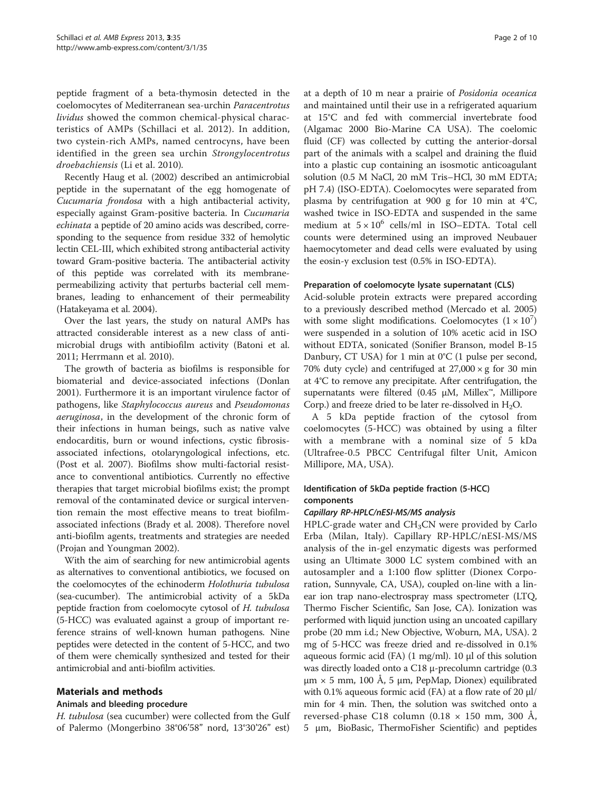peptide fragment of a beta-thymosin detected in the coelomocytes of Mediterranean sea-urchin Paracentrotus lividus showed the common chemical-physical characteristics of AMPs (Schillaci et al. [2012](#page-8-0)). In addition, two cystein-rich AMPs, named centrocyns, have been identified in the green sea urchin Strongylocentrotus droebachiensis (Li et al. [2010\)](#page-8-0).

Recently Haug et al. ([2002\)](#page-8-0) described an antimicrobial peptide in the supernatant of the egg homogenate of Cucumaria frondosa with a high antibacterial activity, especially against Gram-positive bacteria. In Cucumaria echinata a peptide of 20 amino acids was described, corresponding to the sequence from residue 332 of hemolytic lectin CEL-III, which exhibited strong antibacterial activity toward Gram-positive bacteria. The antibacterial activity of this peptide was correlated with its membranepermeabilizing activity that perturbs bacterial cell membranes, leading to enhancement of their permeability (Hatakeyama et al. [2004](#page-8-0)).

Over the last years, the study on natural AMPs has attracted considerable interest as a new class of antimicrobial drugs with antibiofilm activity (Batoni et al. [2011](#page-8-0); Herrmann et al. [2010](#page-8-0)).

The growth of bacteria as biofilms is responsible for biomaterial and device-associated infections (Donlan [2001](#page-8-0)). Furthermore it is an important virulence factor of pathogens, like Staphylococcus aureus and Pseudomonas aeruginosa, in the development of the chronic form of their infections in human beings, such as native valve endocarditis, burn or wound infections, cystic fibrosisassociated infections, otolaryngological infections, etc. (Post et al. [2007](#page-8-0)). Biofilms show multi-factorial resistance to conventional antibiotics. Currently no effective therapies that target microbial biofilms exist; the prompt removal of the contaminated device or surgical intervention remain the most effective means to treat biofilmassociated infections (Brady et al. [2008\)](#page-8-0). Therefore novel anti-biofilm agents, treatments and strategies are needed (Projan and Youngman [2002\)](#page-8-0).

With the aim of searching for new antimicrobial agents as alternatives to conventional antibiotics, we focused on the coelomocytes of the echinoderm Holothuria tubulosa (sea-cucumber). The antimicrobial activity of a 5kDa peptide fraction from coelomocyte cytosol of H. tubulosa (5-HCC) was evaluated against a group of important reference strains of well-known human pathogens. Nine peptides were detected in the content of 5-HCC, and two of them were chemically synthesized and tested for their antimicrobial and anti-biofilm activities.

# Materials and methods

# Animals and bleeding procedure

H. tubulosa (sea cucumber) were collected from the Gulf of Palermo (Mongerbino 38°06'58" nord, 13°30'26" est)

at a depth of 10 m near a prairie of Posidonia oceanica and maintained until their use in a refrigerated aquarium at 15°C and fed with commercial invertebrate food (Algamac 2000 Bio-Marine CA USA). The coelomic fluid (CF) was collected by cutting the anterior-dorsal part of the animals with a scalpel and draining the fluid into a plastic cup containing an isosmotic anticoagulant solution (0.5 M NaCl, 20 mM Tris–HCl, 30 mM EDTA; pH 7.4) (ISO-EDTA). Coelomocytes were separated from plasma by centrifugation at 900 g for 10 min at 4°C, washed twice in ISO-EDTA and suspended in the same medium at  $5 \times 10^6$  cells/ml in ISO–EDTA. Total cell counts were determined using an improved Neubauer haemocytometer and dead cells were evaluated by using the eosin-y exclusion test (0.5% in ISO-EDTA).

#### Preparation of coelomocyte lysate supernatant (CLS)

Acid-soluble protein extracts were prepared according to a previously described method (Mercado et al. [2005](#page-8-0)) with some slight modifications. Coelomocytes  $(1 \times 10^7)$ were suspended in a solution of 10% acetic acid in ISO without EDTA, sonicated (Sonifier Branson, model B-15 Danbury, CT USA) for 1 min at 0°C (1 pulse per second, 70% duty cycle) and centrifuged at  $27,000 \times g$  for 30 min at 4°C to remove any precipitate. After centrifugation, the supernatants were filtered (0.45 μM, Millex™, Millipore Corp.) and freeze dried to be later re-dissolved in  $H_2O$ .

A 5 kDa peptide fraction of the cytosol from coelomocytes (5-HCC) was obtained by using a filter with a membrane with a nominal size of 5 kDa (Ultrafree-0.5 PBCC Centrifugal filter Unit, Amicon Millipore, MA, USA).

# Identification of 5kDa peptide fraction (5-HCC) components

# Capillary RP-HPLC/nESI-MS/MS analysis

 $HPLC$ -grade water and  $CH<sub>3</sub>CN$  were provided by Carlo Erba (Milan, Italy). Capillary RP-HPLC/nESI-MS/MS analysis of the in-gel enzymatic digests was performed using an Ultimate 3000 LC system combined with an autosampler and a 1:100 flow splitter (Dionex Corporation, Sunnyvale, CA, USA), coupled on-line with a linear ion trap nano-electrospray mass spectrometer (LTQ, Thermo Fischer Scientific, San Jose, CA). Ionization was performed with liquid junction using an uncoated capillary probe (20 mm i.d.; New Objective, Woburn, MA, USA). 2 mg of 5-HCC was freeze dried and re-dissolved in 0.1% aqueous formic acid (FA) (1 mg/ml). 10 μl of this solution was directly loaded onto a C18 μ-precolumn cartridge (0.3  $μm × 5 mm$ , 100 Å, 5  $μm$ , PepMap, Dionex) equilibrated with 0.1% aqueous formic acid (FA) at a flow rate of 20  $\mu$ l/ min for 4 min. Then, the solution was switched onto a reversed-phase C18 column  $(0.18 \times 150 \text{ mm}, 300 \text{ A},$ 5 μm, BioBasic, ThermoFisher Scientific) and peptides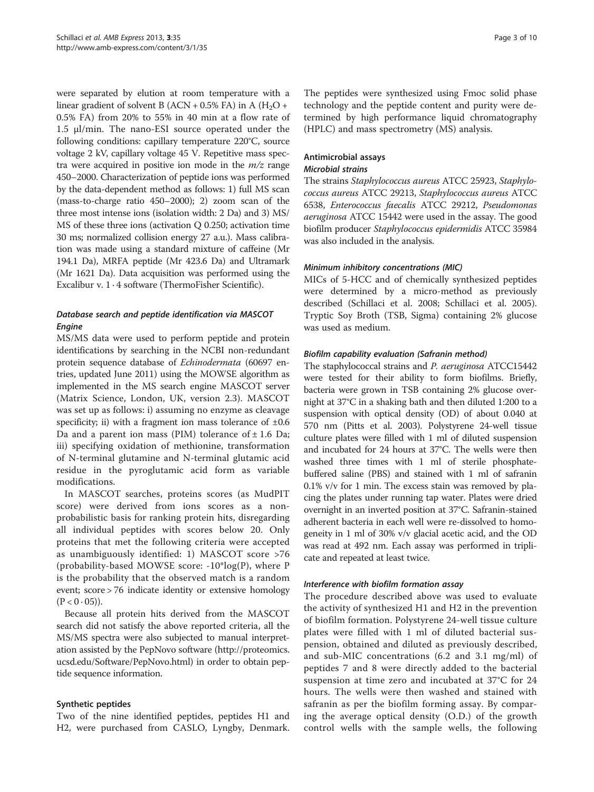were separated by elution at room temperature with a linear gradient of solvent B (ACN + 0.5% FA) in A ( $H_2O$  + 0.5% FA) from 20% to 55% in 40 min at a flow rate of 1.5 μl/min. The nano-ESI source operated under the following conditions: capillary temperature 220°C, source voltage 2 kV, capillary voltage 45 V. Repetitive mass spectra were acquired in positive ion mode in the  $m/z$  range 450–2000. Characterization of peptide ions was performed by the data-dependent method as follows: 1) full MS scan (mass-to-charge ratio 450–2000); 2) zoom scan of the three most intense ions (isolation width: 2 Da) and 3) MS/ MS of these three ions (activation Q 0.250; activation time 30 ms; normalized collision energy 27 a.u.). Mass calibration was made using a standard mixture of caffeine (Mr 194.1 Da), MRFA peptide (Mr 423.6 Da) and Ultramark (Mr 1621 Da). Data acquisition was performed using the Excalibur v. 1 · 4 software (ThermoFisher Scientific).

# Database search and peptide identification via MASCOT Engine

MS/MS data were used to perform peptide and protein identifications by searching in the NCBI non-redundant protein sequence database of Echinodermata (60697 entries, updated June 2011) using the MOWSE algorithm as implemented in the MS search engine MASCOT server (Matrix Science, London, UK, version 2.3). MASCOT was set up as follows: i) assuming no enzyme as cleavage specificity; ii) with a fragment ion mass tolerance of  $\pm 0.6$ Da and a parent ion mass (PIM) tolerance of  $\pm$  1.6 Da; iii) specifying oxidation of methionine, transformation of N-terminal glutamine and N-terminal glutamic acid residue in the pyroglutamic acid form as variable modifications.

In MASCOT searches, proteins scores (as MudPIT score) were derived from ions scores as a nonprobabilistic basis for ranking protein hits, disregarding all individual peptides with scores below 20. Only proteins that met the following criteria were accepted as unambiguously identified: 1) MASCOT score >76 (probability-based MOWSE score: -10\*log(P), where P is the probability that the observed match is a random event; score > 76 indicate identity or extensive homology  $(P < 0.05)$ ).

Because all protein hits derived from the MASCOT search did not satisfy the above reported criteria, all the MS/MS spectra were also subjected to manual interpretation assisted by the PepNovo software [\(http://proteomics.](http://proteomics.ucsd.edu/Software/PepNovo.html) [ucsd.edu/Software/PepNovo.html\)](http://proteomics.ucsd.edu/Software/PepNovo.html) in order to obtain peptide sequence information.

# Synthetic peptides

Two of the nine identified peptides, peptides H1 and H2, were purchased from CASLO, Lyngby, Denmark.

The peptides were synthesized using Fmoc solid phase technology and the peptide content and purity were determined by high performance liquid chromatography (HPLC) and mass spectrometry (MS) analysis.

#### Antimicrobial assays Microbial strains

The strains Staphylococcus aureus ATCC 25923, Staphylococcus aureus ATCC 29213, Staphylococcus aureus ATCC 6538, Enterococcus faecalis ATCC 29212, Pseudomonas aeruginosa ATCC 15442 were used in the assay. The good biofilm producer Staphylococcus epidermidis ATCC 35984 was also included in the analysis.

# Minimum inhibitory concentrations (MIC)

MICs of 5-HCC and of chemically synthesized peptides were determined by a micro-method as previously described (Schillaci et al. [2008;](#page-8-0) Schillaci et al. [2005](#page-8-0)). Tryptic Soy Broth (TSB, Sigma) containing 2% glucose was used as medium.

# Biofilm capability evaluation (Safranin method)

The staphylococcal strains and P. aeruginosa ATCC15442 were tested for their ability to form biofilms. Briefly, bacteria were grown in TSB containing 2% glucose overnight at 37°C in a shaking bath and then diluted 1:200 to a suspension with optical density (OD) of about 0.040 at 570 nm (Pitts et al. [2003](#page-8-0)). Polystyrene 24-well tissue culture plates were filled with 1 ml of diluted suspension and incubated for 24 hours at 37°C. The wells were then washed three times with 1 ml of sterile phosphatebuffered saline (PBS) and stained with 1 ml of safranin 0.1% v/v for 1 min. The excess stain was removed by placing the plates under running tap water. Plates were dried overnight in an inverted position at 37°C. Safranin-stained adherent bacteria in each well were re-dissolved to homogeneity in 1 ml of 30% v/v glacial acetic acid, and the OD was read at 492 nm. Each assay was performed in triplicate and repeated at least twice.

# Interference with biofilm formation assay

The procedure described above was used to evaluate the activity of synthesized H1 and H2 in the prevention of biofilm formation. Polystyrene 24-well tissue culture plates were filled with 1 ml of diluted bacterial suspension, obtained and diluted as previously described, and sub-MIC concentrations (6.2 and 3.1 mg/ml) of peptides 7 and 8 were directly added to the bacterial suspension at time zero and incubated at 37°C for 24 hours. The wells were then washed and stained with safranin as per the biofilm forming assay. By comparing the average optical density (O.D.) of the growth control wells with the sample wells, the following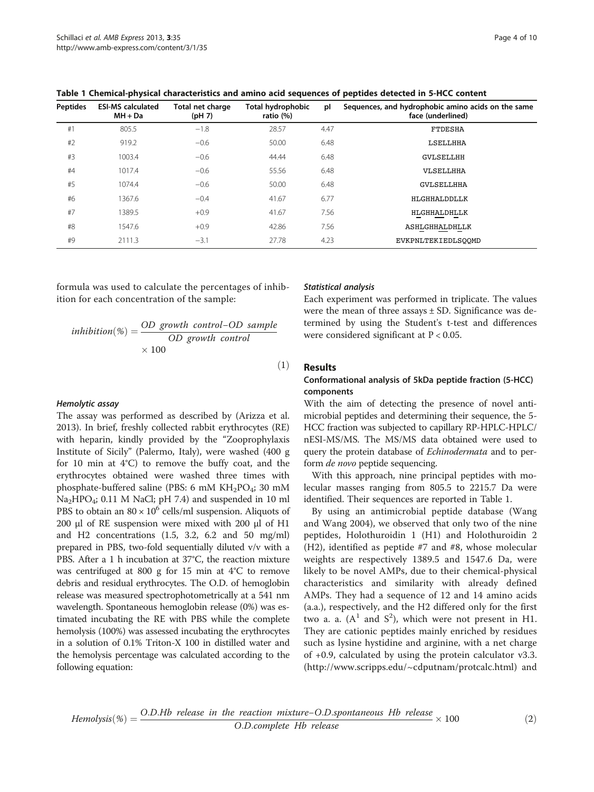| <b>Peptides</b> | <b>ESI-MS calculated</b><br>$MH + Da$ | Total net charge<br>(pH 7) | Total hydrophobic<br>ratio (%) | pl   | Sequences, and hydrophobic amino acids on the same<br>face (underlined) |
|-----------------|---------------------------------------|----------------------------|--------------------------------|------|-------------------------------------------------------------------------|
| #1              | 805.5                                 | $-1.8$                     | 28.57                          | 4.47 | <b>FTDESHA</b>                                                          |
| #2              | 919.2                                 | $-0.6$                     | 50.00                          | 6.48 | <b>LSELLHHA</b>                                                         |
| #3              | 1003.4                                | $-0.6$                     | 44.44                          | 6.48 | <b>GVLSELLHH</b>                                                        |
| #4              | 1017.4                                | $-0.6$                     | 55.56                          | 6.48 | VLSELLHHA                                                               |
| #5              | 1074.4                                | $-0.6$                     | 50.00                          | 6.48 | <b>GVLSELLHHA</b>                                                       |
| #6              | 1367.6                                | $-0.4$                     | 41.67                          | 6.77 | HLGHHALDDLLK                                                            |
| #7              | 1389.5                                | $+0.9$                     | 41.67                          | 7.56 | HLGHHALDHLLK                                                            |
| #8              | 1547.6                                | $+0.9$                     | 42.86                          | 7.56 | <b>ASHLGHHALDHLLK</b>                                                   |
| #9              | 2111.3                                | $-3.1$                     | 27.78                          | 4.23 | EVKPNLTEKIEDLSOOMD                                                      |

<span id="page-3-0"></span>Table 1 Chemical-physical characteristics and amino acid sequences of peptides detected in 5-HCC content

formula was used to calculate the percentages of inhibition for each concentration of the sample:

\n
$$
inhibition(\%) = \frac{OD \text{ growth control} - OD \text{ sample}}{OD \text{ growth control}}
$$
\n
$$
\times 100
$$
\n

#### Hemolytic assay

The assay was performed as described by (Arizza et al. [2013](#page-8-0)). In brief, freshly collected rabbit erythrocytes (RE) with heparin, kindly provided by the "Zooprophylaxis Institute of Sicily" (Palermo, Italy), were washed (400 g for 10 min at 4°C) to remove the buffy coat, and the erythrocytes obtained were washed three times with phosphate-buffered saline (PBS: 6 mM  $KH_2PO_4$ ; 30 mM Na2HPO4; 0.11 M NaCl; pH 7.4) and suspended in 10 ml PBS to obtain an  $80 \times 10^6$  cells/ml suspension. Aliquots of 200 μl of RE suspension were mixed with 200 μl of H1 and H2 concentrations (1.5, 3.2, 6.2 and 50 mg/ml) prepared in PBS, two-fold sequentially diluted v/v with a PBS. After a 1 h incubation at 37°C, the reaction mixture was centrifuged at 800 g for 15 min at 4°C to remove debris and residual erythrocytes. The O.D. of hemoglobin release was measured spectrophotometrically at a 541 nm wavelength. Spontaneous hemoglobin release (0%) was estimated incubating the RE with PBS while the complete hemolysis (100%) was assessed incubating the erythrocytes in a solution of 0.1% Triton-X 100 in distilled water and the hemolysis percentage was calculated according to the following equation:

#### Statistical analysis

Each experiment was performed in triplicate. The values were the mean of three assays  $\pm$  SD. Significance was determined by using the Student's t-test and differences were considered significant at  $P < 0.05$ .

#### Results

 $(1)$ 

#### Conformational analysis of 5kDa peptide fraction (5-HCC) components

With the aim of detecting the presence of novel antimicrobial peptides and determining their sequence, the 5- HCC fraction was subjected to capillary RP-HPLC-HPLC/ nESI-MS/MS. The MS/MS data obtained were used to query the protein database of Echinodermata and to perform de novo peptide sequencing.

With this approach, nine principal peptides with molecular masses ranging from 805.5 to 2215.7 Da were identified. Their sequences are reported in Table 1.

By using an antimicrobial peptide database (Wang and Wang [2004\)](#page-9-0), we observed that only two of the nine peptides, Holothuroidin 1 (H1) and Holothuroidin 2 (H2), identified as peptide #7 and #8, whose molecular weights are respectively 1389.5 and 1547.6 Da, were likely to be novel AMPs, due to their chemical-physical characteristics and similarity with already defined AMPs. They had a sequence of 12 and 14 amino acids (a.a.), respectively, and the H2 differed only for the first two a. a.  $(A^1$  and  $S^2)$ , which were not present in H1. They are cationic peptides mainly enriched by residues such as lysine hystidine and arginine, with a net charge of +0.9, calculated by using the protein calculator v3.3. ([http://www.scripps.edu/~cdputnam/protcalc.html\)](http://www.scripps.edu/~cdputnam/protcalc.html) and

*Hemolysis*(%) = 
$$
\frac{O.D.Hb \text{ release in the reaction mixture}-O.D.\text{spontaneous Hb release}}{O.D.\text{complete Hb release}} \times 100
$$
 (2)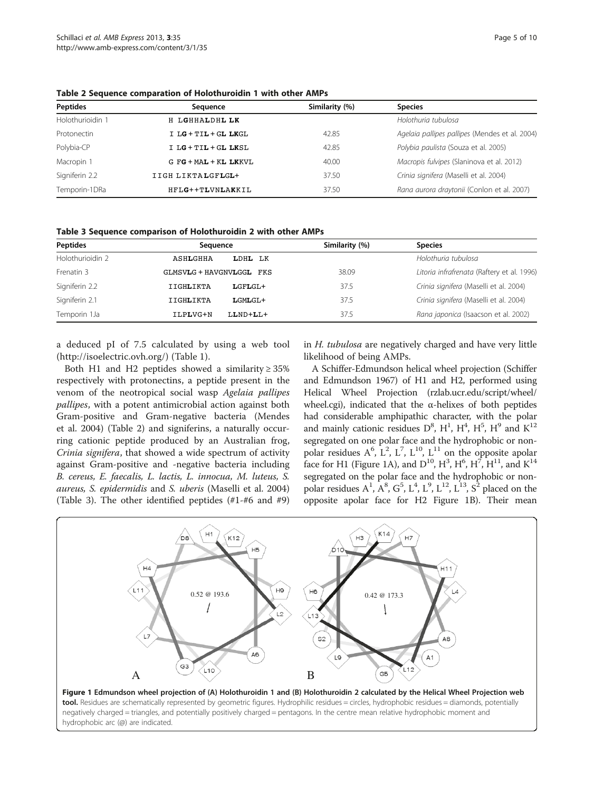| <b>Peptides</b>  | Seauence               | Similarity (%) | <b>Species</b>                                 |
|------------------|------------------------|----------------|------------------------------------------------|
| Holothurioidin 1 | H LGHHALDHL LK         |                | Holothuria tubulosa                            |
| Protonectin      | $I LG + TIL + GL LKGL$ | 42.85          | Agelaia pallipes pallipes (Mendes et al. 2004) |
| Polybia-CP       | I LG + TIL + GL LKSL   | 42.85          | Polybia paulista (Souza et al. 2005)           |
| Macropin 1       | G FG + MAL + KL LKKVL  | 40.00          | Macropis fulvipes (Slaninova et al. 2012)      |
| Signiferin 2.2   | IIGH LIKTALGFLGL+      | 37.50          | Crinia signifera (Maselli et al. 2004)         |
| Temporin-1DRa    | HFLG++TLVNLAKKIL       | 37.50          | Rana aurora draytonii (Conlon et al. 2007)     |

<span id="page-4-0"></span>Table 2 Sequence comparation of Holothuroidin 1 with other AMPs

Table 3 Sequence comparison of Holothuroidin 2 with other AMPs

| <b>Peptides</b>  | Sequence                    | Similarity (%) | <b>Species</b>                             |
|------------------|-----------------------------|----------------|--------------------------------------------|
| Holothurioidin 2 | LDHL LK<br>ASHLGHHA         |                | Holothuria tubulosa                        |
| Frenatin 3       | GLMSVLG + HAVGNVLGGL FKS    | 38.09          | Litoria infrafrenata (Raftery et al. 1996) |
| Signiferin 2.2   | IIGHLIKTA<br>$LGFLGL+$      | 37.5           | Crinia signifera (Maselli et al. 2004)     |
| Signiferin 2.1   | <b>IIGHLIKTA</b><br>LGMLGL+ | 37.5           | Crinia signifera (Maselli et al. 2004)     |
| Temporin 1Ja     | LLND+LL+<br>ILPLVG+N        | 37.5           | Rana japonica (Isaacson et al. 2002)       |

a deduced pI of 7.5 calculated by using a web tool ([http://isoelectric.ovh.org/\)](http://isoelectric.ovh.org/) (Table [1](#page-3-0)).

Both H1 and H2 peptides showed a similarity  $\geq$  35% respectively with protonectins, a peptide present in the venom of the neotropical social wasp Agelaia pallipes pallipes, with a potent antimicrobial action against both Gram-positive and Gram-negative bacteria (Mendes et al. [2004\)](#page-8-0) (Table 2) and signiferins, a naturally occurring cationic peptide produced by an Australian frog, Crinia signifera, that showed a wide spectrum of activity against Gram-positive and -negative bacteria including B. cereus, E. faecalis, L. lactis, L. innocua, M. luteus, S. aureus, S. epidermidis and S. uberis (Maselli et al. [2004](#page-8-0)) (Table 3). The other identified peptides (#1-#6 and #9)

in H. tubulosa are negatively charged and have very little likelihood of being AMPs.

A Schiffer-Edmundson helical wheel projection (Schiffer and Edmundson [1967](#page-8-0)) of H1 and H2, performed using Helical Wheel Projection (rzlab.ucr.edu/script/wheel/ wheel.cgi), indicated that the α-helixes of both peptides had considerable amphipathic character, with the polar and mainly cationic residues  $D^8$ , H<sup>1</sup>, H<sup>4</sup>, H<sup>5</sup>, H<sup>9</sup> and K<sup>12</sup> segregated on one polar face and the hydrophobic or nonpolar residues  $A^6$ ,  $L^2$ ,  $L^7$ ,  $L^{10}$ ,  $L^{11}$  on the opposite apolar face for H1 (Figure 1A), and  $D^{10}$ ,  $H^3$ ,  $H^6$ ,  $H^7$ ,  $H^{11}$ , and  $K^{14}$ segregated on the polar face and the hydrophobic or nonpolar residues  $A^1$ ,  $A^8$ ,  $G^5$ ,  $L^4$ ,  $L^9$ ,  $L^{12}$ ,  $L^{13}$ ,  $S^2$  placed on the opposite apolar face for H2 Figure 1B). Their mean

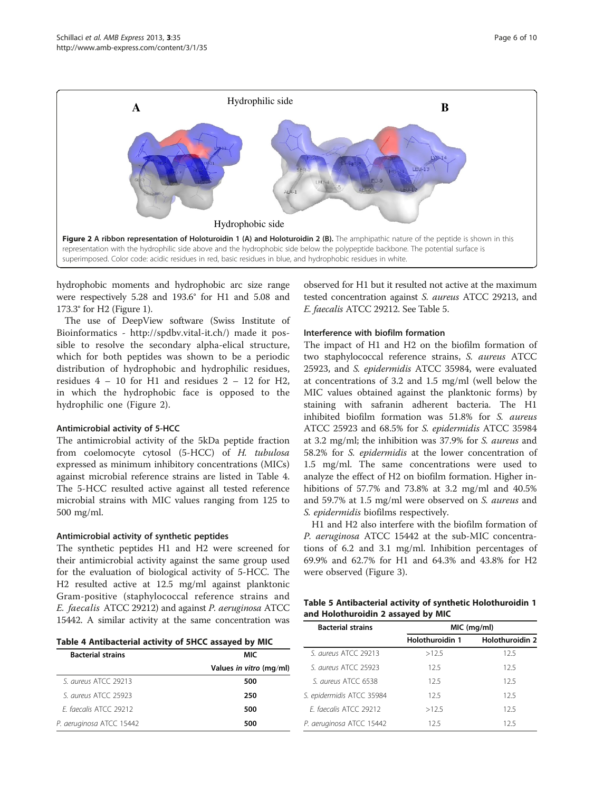

hydrophobic moments and hydrophobic arc size range were respectively 5.28 and 193.6° for H1 and 5.08 and 173.3° for H2 (Figure [1\)](#page-4-0).

The use of DeepView software (Swiss Institute of Bioinformatics - [http://spdbv.vital-it.ch/\)](http://spdbv.vital-it.ch/) made it possible to resolve the secondary alpha-elical structure, which for both peptides was shown to be a periodic distribution of hydrophobic and hydrophilic residues, residues  $4 - 10$  for H1 and residues  $2 - 12$  for H2, in which the hydrophobic face is opposed to the hydrophilic one (Figure 2).

#### Antimicrobial activity of 5-HCC

The antimicrobial activity of the 5kDa peptide fraction from coelomocyte cytosol (5-HCC) of H. tubulosa expressed as minimum inhibitory concentrations (MICs) against microbial reference strains are listed in Table 4. The 5-HCC resulted active against all tested reference microbial strains with MIC values ranging from 125 to 500 mg/ml.

#### Antimicrobial activity of synthetic peptides

The synthetic peptides H1 and H2 were screened for their antimicrobial activity against the same group used for the evaluation of biological activity of 5-HCC. The H2 resulted active at 12.5 mg/ml against planktonic Gram-positive (staphylococcal reference strains and E. faecalis ATCC 29212) and against P. aeruginosa ATCC 15442. A similar activity at the same concentration was

observed for H1 but it resulted not active at the maximum tested concentration against S. aureus ATCC 29213, and E. faecalis ATCC 29212. See Table 5.

#### Interference with biofilm formation

The impact of H1 and H2 on the biofilm formation of two staphylococcal reference strains, S. aureus ATCC 25923, and S. epidermidis ATCC 35984, were evaluated at concentrations of 3.2 and 1.5 mg/ml (well below the MIC values obtained against the planktonic forms) by staining with safranin adherent bacteria. The H1 inhibited biofilm formation was 51.8% for S. aureus ATCC 25923 and 68.5% for S. epidermidis ATCC 35984 at 3.2 mg/ml; the inhibition was 37.9% for S. aureus and 58.2% for S. epidermidis at the lower concentration of 1.5 mg/ml. The same concentrations were used to analyze the effect of H2 on biofilm formation. Higher inhibitions of 57.7% and 73.8% at 3.2 mg/ml and 40.5% and 59.7% at 1.5 mg/ml were observed on S. aureus and S. epidermidis biofilms respectively.

H1 and H2 also interfere with the biofilm formation of P. aeruginosa ATCC 15442 at the sub-MIC concentrations of 6.2 and 3.1 mg/ml. Inhibition percentages of 69.9% and 62.7% for H1 and 64.3% and 43.8% for H2 were observed (Figure [3](#page-6-0)).

| Table 5 Antibacterial activity of synthetic Holothuroidin 1 |  |
|-------------------------------------------------------------|--|
| and Holothuroidin 2 assayed by MIC                          |  |

| Table 4 Antibacterial activity of 5HCC assayed by MIC |                         |  |
|-------------------------------------------------------|-------------------------|--|
| <b>Bacterial strains</b>                              | MIC                     |  |
|                                                       | Values in vitro (mg/ml) |  |
| S <i>aureus</i> ATCC 29213                            | 500                     |  |
| S. aureus ATCC 25923                                  | 250                     |  |
| F. faecalis ATCC 29212                                | 500                     |  |
| P. aeruginosa ATCC 15442                              | 500                     |  |

| <b>Bacterial strains</b>  | MIC (mg/ml)     |                 |  |
|---------------------------|-----------------|-----------------|--|
|                           | Holothuroidin 1 | Holothuroidin 2 |  |
| S. aureus ATCC 29213      | >12.5           | 12.5            |  |
| S. aureus ATCC 25923      | 12.5            | 12.5            |  |
| S. aureus ATCC 6538       | 125             | 12.5            |  |
| S. epidermidis ATCC 35984 | 125             | 125             |  |
| F faecalis ATCC 29212     | >12.5           | 12.5            |  |
| P. aeruginosa ATCC 15442  | 12.5            | 12.5            |  |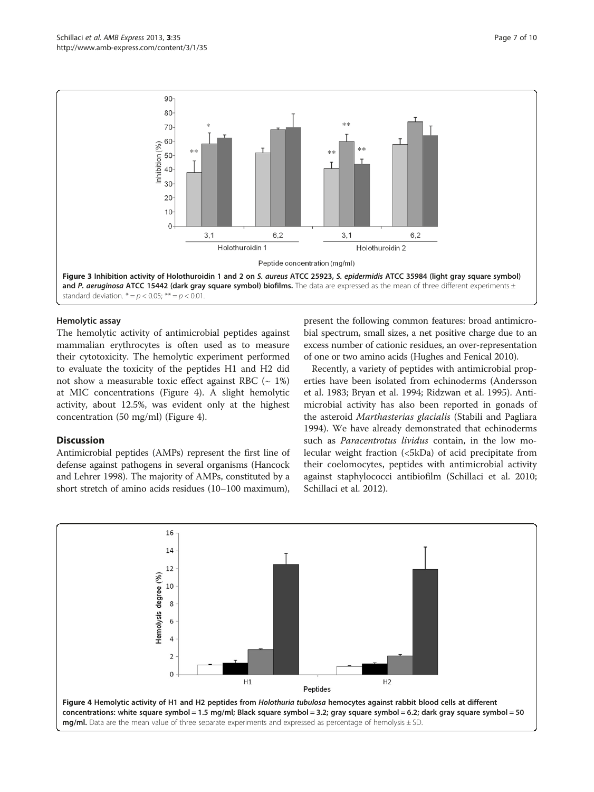<span id="page-6-0"></span>

#### Hemolytic assay

The hemolytic activity of antimicrobial peptides against mammalian erythrocytes is often used as to measure their cytotoxicity. The hemolytic experiment performed to evaluate the toxicity of the peptides H1 and H2 did not show a measurable toxic effect against RBC  $(-1\%)$ at MIC concentrations (Figure 4). A slight hemolytic activity, about 12.5%, was evident only at the highest concentration (50 mg/ml) (Figure 4).

#### **Discussion**

Antimicrobial peptides (AMPs) represent the first line of defense against pathogens in several organisms (Hancock and Lehrer [1998\)](#page-8-0). The majority of AMPs, constituted by a short stretch of amino acids residues (10–100 maximum),

present the following common features: broad antimicrobial spectrum, small sizes, a net positive charge due to an excess number of cationic residues, an over-representation of one or two amino acids (Hughes and Fenical [2010](#page-8-0)).

Recently, a variety of peptides with antimicrobial properties have been isolated from echinoderms (Andersson et al. [1983](#page-7-0); Bryan et al. [1994](#page-8-0); Ridzwan et al. [1995](#page-8-0)). Antimicrobial activity has also been reported in gonads of the asteroid Marthasterias glacialis (Stabili and Pagliara [1994](#page-9-0)). We have already demonstrated that echinoderms such as *Paracentrotus lividus* contain, in the low molecular weight fraction (<5kDa) of acid precipitate from their coelomocytes, peptides with antimicrobial activity against staphylococci antibiofilm (Schillaci et al. [2010](#page-8-0); Schillaci et al. [2012\)](#page-8-0).

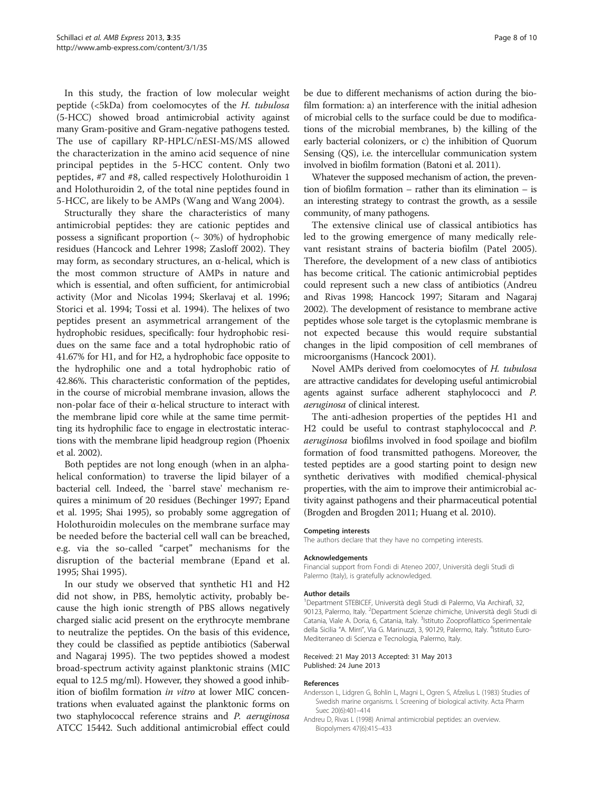<span id="page-7-0"></span>In this study, the fraction of low molecular weight peptide (<5kDa) from coelomocytes of the H. tubulosa (5-HCC) showed broad antimicrobial activity against many Gram-positive and Gram-negative pathogens tested. The use of capillary RP-HPLC/nESI-MS/MS allowed the characterization in the amino acid sequence of nine principal peptides in the 5-HCC content. Only two peptides, #7 and #8, called respectively Holothuroidin 1 and Holothuroidin 2, of the total nine peptides found in 5-HCC, are likely to be AMPs (Wang and Wang [2004\)](#page-9-0).

Structurally they share the characteristics of many antimicrobial peptides: they are cationic peptides and possess a significant proportion  $({\sim} 30%)$  of hydrophobic residues (Hancock and Lehrer [1998;](#page-8-0) Zasloff [2002](#page-9-0)). They may form, as secondary structures, an α-helical, which is the most common structure of AMPs in nature and which is essential, and often sufficient, for antimicrobial activity (Mor and Nicolas [1994;](#page-8-0) Skerlavaj et al. [1996](#page-8-0); Storici et al. [1994;](#page-9-0) Tossi et al. [1994](#page-9-0)). The helixes of two peptides present an asymmetrical arrangement of the hydrophobic residues, specifically: four hydrophobic residues on the same face and a total hydrophobic ratio of 41.67% for H1, and for H2, a hydrophobic face opposite to the hydrophilic one and a total hydrophobic ratio of 42.86%. This characteristic conformation of the peptides, in the course of microbial membrane invasion, allows the non-polar face of their α-helical structure to interact with the membrane lipid core while at the same time permitting its hydrophilic face to engage in electrostatic interactions with the membrane lipid headgroup region (Phoenix et al. [2002](#page-8-0)).

Both peptides are not long enough (when in an alphahelical conformation) to traverse the lipid bilayer of a bacterial cell. Indeed, the `barrel stave' mechanism requires a minimum of 20 residues (Bechinger [1997;](#page-8-0) Epand et al. [1995](#page-8-0); Shai [1995](#page-8-0)), so probably some aggregation of Holothuroidin molecules on the membrane surface may be needed before the bacterial cell wall can be breached, e.g. via the so-called "carpet" mechanisms for the disruption of the bacterial membrane (Epand et al. [1995;](#page-8-0) Shai [1995\)](#page-8-0).

In our study we observed that synthetic H1 and H2 did not show, in PBS, hemolytic activity, probably because the high ionic strength of PBS allows negatively charged sialic acid present on the erythrocyte membrane to neutralize the peptides. On the basis of this evidence, they could be classified as peptide antibiotics (Saberwal and Nagaraj [1995\)](#page-8-0). The two peptides showed a modest broad-spectrum activity against planktonic strains (MIC equal to 12.5 mg/ml). However, they showed a good inhibition of biofilm formation in vitro at lower MIC concentrations when evaluated against the planktonic forms on two staphylococcal reference strains and P. aeruginosa ATCC 15442. Such additional antimicrobial effect could be due to different mechanisms of action during the biofilm formation: a) an interference with the initial adhesion of microbial cells to the surface could be due to modifications of the microbial membranes, b) the killing of the early bacterial colonizers, or c) the inhibition of Quorum Sensing (QS), i.e. the intercellular communication system involved in biofilm formation (Batoni et al. [2011\)](#page-8-0).

Whatever the supposed mechanism of action, the prevention of biofilm formation – rather than its elimination – is an interesting strategy to contrast the growth, as a sessile community, of many pathogens.

The extensive clinical use of classical antibiotics has led to the growing emergence of many medically relevant resistant strains of bacteria biofilm (Patel [2005](#page-8-0)). Therefore, the development of a new class of antibiotics has become critical. The cationic antimicrobial peptides could represent such a new class of antibiotics (Andreu and Rivas 1998; Hancock [1997](#page-8-0); Sitaram and Nagaraj [2002](#page-8-0)). The development of resistance to membrane active peptides whose sole target is the cytoplasmic membrane is not expected because this would require substantial changes in the lipid composition of cell membranes of microorganisms (Hancock [2001\)](#page-8-0).

Novel AMPs derived from coelomocytes of H. tubulosa are attractive candidates for developing useful antimicrobial agents against surface adherent staphylococci and P. aeruginosa of clinical interest.

The anti-adhesion properties of the peptides H1 and H2 could be useful to contrast staphylococcal and P. aeruginosa biofilms involved in food spoilage and biofilm formation of food transmitted pathogens. Moreover, the tested peptides are a good starting point to design new synthetic derivatives with modified chemical-physical properties, with the aim to improve their antimicrobial activity against pathogens and their pharmaceutical potential (Brogden and Brogden [2011](#page-8-0); Huang et al. [2010\)](#page-8-0).

### Competing interests

The authors declare that they have no competing interests.

#### Acknowledgements

Financial support from Fondi di Ateneo 2007, Università degli Studi di Palermo (Italy), is gratefully acknowledged.

#### Author details

<sup>1</sup>Department STEBICEF, Università degli Studi di Palermo, Via Archirafi, 32, 90123, Palermo, Italy. <sup>2</sup>Department Scienze chimiche, Università degli Studi di Catania, Viale A. Doria, 6, Catania, Italy. <sup>3</sup>Istituto Zooprofilattico Sperimentale della Sicilia "A. Mirri", Via G. Marinuzzi, 3, 90129, Palermo, Italy. <sup>4</sup>Istituto Euro-Mediterraneo di Scienza e Tecnologia, Palermo, Italy.

#### Received: 21 May 2013 Accepted: 31 May 2013 Published: 24 June 2013

#### References

- Andersson L, Lidgren G, Bohlin L, Magni L, Ogren S, Afzelius L (1983) Studies of Swedish marine organisms. I. Screening of biological activity. Acta Pharm Suec 20(6):401–414
- Andreu D, Rivas L (1998) Animal antimicrobial peptides: an overview. Biopolymers 47(6):415–433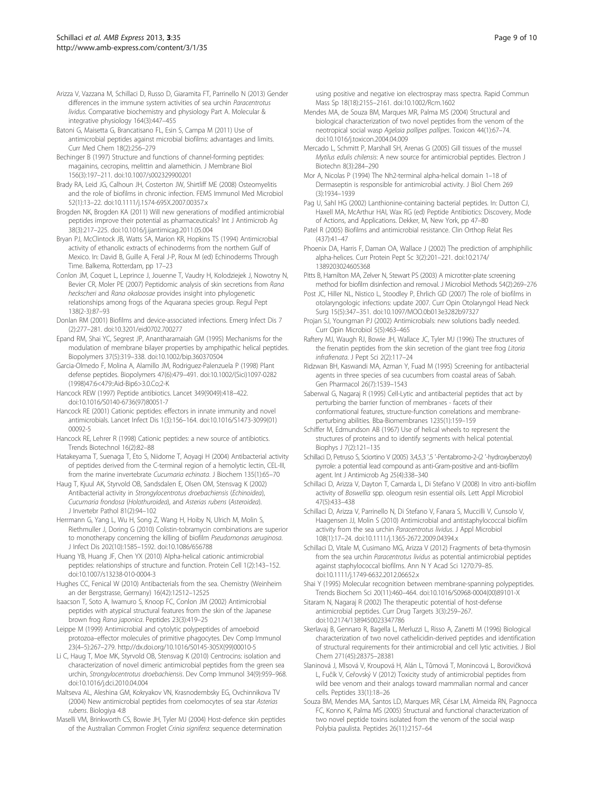<span id="page-8-0"></span>Arizza V, Vazzana M, Schillaci D, Russo D, Giaramita FT, Parrinello N (2013) Gender differences in the immune system activities of sea urchin Paracentrotus lividus. Comparative biochemistry and physiology Part A. Molecular & integrative physiology 164(3):447–455

Batoni G, Maisetta G, Brancatisano FL, Esin S, Campa M (2011) Use of antimicrobial peptides against microbial biofilms: advantages and limits. Curr Med Chem 18(2):256–279

Bechinger B (1997) Structure and functions of channel-forming peptides: magainins, cecropins, melittin and alamethicin. J Membrane Biol 156(3):197–211. doi:[10.1007/s002329900201](http://dx.doi.org/10.1007/s002329900201)

Brady RA, Leid JG, Calhoun JH, Costerton JW, Shirtliff ME (2008) Osteomyelitis and the role of biofilms in chronic infection. FEMS Immunol Med Microbiol 52(1):13–22. doi:[10.1111/j.1574-695X.2007.00357.x](http://dx.doi.org/10.1111/j.1574-695X.2007.00357.x)

Brogden NK, Brogden KA (2011) Will new generations of modified antimicrobial peptides improve their potential as pharmaceuticals? Int J Antimicrob Ag 38(3):217–225. doi[:10.1016/j.ijantimicag.2011.05.004](http://dx.doi.org/10.1016/j.ijantimicag.2011.05.004)

Bryan PJ, McClintock JB, Watts SA, Marion KR, Hopkins TS (1994) Antimicrobial activity of ethanolic extracts of echinoderms from the northern Gulf of Mexico. In: David B, Guille A, Feral J-P, Roux M (ed) Echinoderms Through Time. Balkema, Rotterdam, pp 17–23

Conlon JM, Coquet L, Leprince J, Jouenne T, Vaudry H, Kolodziejek J, Nowotny N, Bevier CR, Moler PE (2007) Peptidomic analysis of skin secretions from Rana heckscheri and Rana okaloosae provides insight into phylogenetic relationships among frogs of the Aquarana species group. Regul Pept 138(2-3):87–93

Donlan RM (2001) Biofilms and device-associated infections. Emerg Infect Dis 7 (2):277–281. doi:[10.3201/eid0702.700277](http://dx.doi.org/10.3201/eid0702.700277)

Epand RM, Shai YC, Segrest JP, Anantharamaiah GM (1995) Mechanisms for the modulation of membrane bilayer properties by amphipathic helical peptides. Biopolymers 37(5):319–338. doi:[10.1002/bip.360370504](http://dx.doi.org/10.1002/bip.360370504)

Garcia-Olmedo F, Molina A, Alamillo JM, Rodriguez-Palenzuela P (1998) Plant defense peptides. Biopolymers 47(6):479–491. doi:[10.1002/\(Sici\)1097-0282](http://dx.doi.org/10.1002/(Sici)1097-0282(1998)47:6%3C479::Aid-Bip6%3E3.0.Co;2-K) [\(1998\)47:6<479::Aid-Bip6>3.0.Co;2-K](http://dx.doi.org/10.1002/(Sici)1097-0282(1998)47:6%3C479::Aid-Bip6%3E3.0.Co;2-K)

Hancock REW (1997) Peptide antibiotics. Lancet 349(9049):418–422. doi[:10.1016/S0140-6736\(97\)80051-7](http://dx.doi.org/10.1016/S0140-6736(97)80051-7)

Hancock RE (2001) Cationic peptides: effectors in innate immunity and novel antimicrobials. Lancet Infect Dis 1(3):156–164. doi:[10.1016/S1473-3099\(01\)](http://dx.doi.org/10.1016/S1473-3099(01)00092-5) [00092-5](http://dx.doi.org/10.1016/S1473-3099(01)00092-5)

Hancock RE, Lehrer R (1998) Cationic peptides: a new source of antibiotics. Trends Biotechnol 16(2):82–88

Hatakeyama T, Suenaga T, Eto S, Niidome T, Aoyagi H (2004) Antibacterial activity of peptides derived from the C-terminal region of a hemolytic lectin, CEL-III, from the marine invertebrate Cucumaria echinata. J Biochem 135(1):65–70

Haug T, Kjuul AK, Styrvold OB, Sandsdalen E, Olsen OM, Stensvag K (2002) Antibacterial activity in Strongylocentrotus droebachiensis (Echinoidea), Cucumaria frondosa (Holothuroidea), and Asterias rubens (Asteroidea). J Invertebr Pathol 81(2):94–102

Herrmann G, Yang L, Wu H, Song Z, Wang H, Hoiby N, Ulrich M, Molin S, Riethmuller J, Doring G (2010) Colistin-tobramycin combinations are superior to monotherapy concerning the killing of biofilm Pseudomonas aeruginosa. J Infect Dis 202(10):1585–1592. doi[:10.1086/656788](http://dx.doi.org/10.1086/656788)

Huang YB, Huang JF, Chen YX (2010) Alpha-helical cationic antimicrobial peptides: relationships of structure and function. Protein Cell 1(2):143–152. doi[:10.1007/s13238-010-0004-3](http://dx.doi.org/10.1007/s13238-010-0004-3)

Hughes CC, Fenical W (2010) Antibacterials from the sea. Chemistry (Weinheim an der Bergstrasse, Germany) 16(42):12512–12525

Isaacson T, Soto A, Iwamuro S, Knoop FC, Conlon JM (2002) Antimicrobial peptides with atypical structural features from the skin of the Japanese brown frog Rana japonica. Peptides 23(3):419–25

Leippe M (1999) Antimicrobial and cytolytic polypeptides of amoeboid protozoa–effector molecules of primitive phagocytes. Dev Comp Immunol 23(4–5):267–279. [http://dx.doi.org/10.1016/S0145-305X\(99\)00010-5](http://dx.doi.org/10.1016/S0145-305X(99)00010-5)

Li C, Haug T, Moe MK, Styrvold OB, Stensvag K (2010) Centrocins: isolation and characterization of novel dimeric antimicrobial peptides from the green sea urchin, Strongylocentrotus droebachiensis. Dev Comp Immunol 34(9):959–968. doi[:10.1016/j.dci.2010.04.004](http://dx.doi.org/10.1016/j.dci.2010.04.004)

Maltseva AL, Aleshina GM, Kokryakov VN, Krasnodembsky EG, Ovchinnikova TV (2004) New antimicrobial peptides from coelomocytes of sea star Asterias rubens. Biologiya 4:8

Maselli VM, Brinkworth CS, Bowie JH, Tyler MJ (2004) Host-defence skin peptides of the Australian Common Froglet Crinia signifera: sequence determination

using positive and negative ion electrospray mass spectra. Rapid Commun Mass Sp 18(18):2155–2161. doi[:10.1002/Rcm.1602](http://dx.doi.org/10.1002/Rcm.1602)

Mendes MA, de Souza BM, Marques MR, Palma MS (2004) Structural and biological characterization of two novel peptides from the venom of the neotropical social wasp Agelaia pallipes pallipes. Toxicon 44(1):67–74. doi[:10.1016/j.toxicon.2004.04.009](http://dx.doi.org/10.1016/j.toxicon.2004.04.009)

Mercado L, Schmitt P, Marshall SH, Arenas G (2005) Gill tissues of the mussel Mytilus edulis chilensis: A new source for antimicrobial peptides. Electron J Biotechn 8(3):284–290

Mor A, Nicolas P (1994) The Nh2-terminal alpha-helical domain 1–18 of Dermaseptin is responsible for antimicrobial activity. J Biol Chem 269 (3):1934–1939

Pag U, Sahl HG (2002) Lanthionine-containing bacterial peptides. In: Dutton CJ, Haxell MA, McArthur HAI, Wax RG (ed) Peptide Antibiotics: Discovery, Mode of Actions, and Applications. Dekker, M, New York, pp 47–80

Patel R (2005) Biofilms and antimicrobial resistance. Clin Orthop Relat Res (437):41–47

Phoenix DA, Harris F, Daman OA, Wallace J (2002) The prediction of amphiphilic alpha-helices. Curr Protein Pept Sc 3(2):201–221. doi[:10.2174/](http://dx.doi.org/10.2174/1389203024605368) [1389203024605368](http://dx.doi.org/10.2174/1389203024605368)

Pitts B, Hamilton MA, Zelver N, Stewart PS (2003) A microtiter-plate screening method for biofilm disinfection and removal. J Microbiol Methods 54(2):269–276

Post JC, Hiller NL, Nistico L, Stoodley P, Ehrlich GD (2007) The role of biofilms in otolaryngologic infections: update 2007. Curr Opin Otolaryngol Head Neck Surg 15(5):347–351. doi:[10.1097/MOO.0b013e3282b97327](http://dx.doi.org/10.1097/MOO.0b013e3282b97327)

Projan SJ, Youngman PJ (2002) Antimicrobials: new solutions badly needed. Curr Opin Microbiol 5(5):463–465

Raftery MJ, Waugh RJ, Bowie JH, Wallace JC, Tyler MJ (1996) The structures of the frenatin peptides from the skin secretion of the giant tree frog Litoria infrafrenata. J Pept Sci 2(2):117–24

Ridzwan BH, Kaswandi MA, Azman Y, Fuad M (1995) Screening for antibacterial agents in three species of sea cucumbers from coastal areas of Sabah. Gen Pharmacol 26(7):1539–1543

Saberwal G, Nagaraj R (1995) Cell-Lytic and antibacterial peptides that act by perturbing the barrier function of membranes - facets of their conformational features, structure-function correlations and membraneperturbing abilities. Bba-Biomembranes 1235(1):159–159

Schiffer M, Edmundson AB (1967) Use of helical wheels to represent the structures of proteins and to identify segments with helical potential. Biophys J 7(2):121–135

Schillaci D, Petruso S, Sciortino V (2005) 3,4,5,3 ',5 '-Pentabromo-2-(2 '-hydroxybenzoyl) pyrrole: a potential lead compound as anti-Gram-positive and anti-biofilm agent. Int J Antimicrob Ag 25(4):338–340

Schillaci D, Arizza V, Dayton T, Camarda L, Di Stefano V (2008) In vitro anti-biofilm activity of Boswellia spp. oleogum resin essential oils. Lett Appl Microbiol 47(5):433–438

Schillaci D, Arizza V, Parrinello N, Di Stefano V, Fanara S, Muccilli V, Cunsolo V, Haagensen JJ, Molin S (2010) Antimicrobial and antistaphylococcal biofilm activity from the sea urchin Paracentrotus lividus. J Appl Microbiol 108(1):17–24. doi[:10.1111/j.1365-2672.2009.04394.x](http://dx.doi.org/10.1111/j.1365-2672.2009.04394.x)

Schillaci D, Vitale M, Cusimano MG, Arizza V (2012) Fragments of beta-thymosin from the sea urchin Paracentrotus lividus as potential antimicrobial peptides against staphylococcal biofilms. Ann N Y Acad Sci 1270:79–85. doi[:10.1111/j.1749-6632.2012.06652.x](http://dx.doi.org/10.1111/j.1749-6632.2012.06652.x)

Shai Y (1995) Molecular recognition between membrane-spanning polypeptides. Trends Biochem Sci 20(11):460–464. doi[:10.1016/S0968-0004\(00\)89101-X](http://dx.doi.org/10.1016/S0968-0004(00)89101-X)

Sitaram N, Nagaraj R (2002) The therapeutic potential of host-defense antimicrobial peptides. Curr Drug Targets 3(3):259–267. doi[:10.2174/1389450023347786](http://dx.doi.org/10.2174/1389450023347786)

Skerlavaj B, Gennaro R, Bagella L, Merluzzi L, Risso A, Zanetti M (1996) Biological characterization of two novel cathelicidin-derived peptides and identification of structural requirements for their antimicrobial and cell lytic activities. J Biol Chem 271(45):28375–28381

Slaninová J, Mlsová V, Kroupová H, Alán L, Tůmová T, Monincová L, Borovičková L, Fučík V, Ceřovský V (2012) Toxicity study of antimicrobial peptides from wild bee venom and their analogs toward mammalian normal and cancer cells. Peptides 33(1):18–26

Souza BM, Mendes MA, Santos LD, Marques MR, César LM, Almeida RN, Pagnocca FC, Konno K, Palma MS (2005) Structural and functional characterization of two novel peptide toxins isolated from the venom of the social wasp Polybia paulista. Peptides 26(11):2157–64